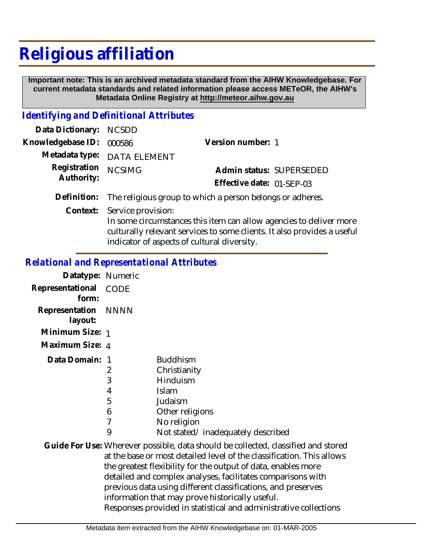## **Religious affiliation**

 **Important note: This is an archived metadata standard from the AIHW Knowledgebase. For current metadata standards and related information please access METeOR, the AIHW's Metadata Online Registry at http://meteor.aihw.gov.au**

## *Identifying and Definitional Attributes*

| Data Dictionary: NCSDD     |                                                                       |                           |                          |
|----------------------------|-----------------------------------------------------------------------|---------------------------|--------------------------|
| Knowledgebase ID: 000586   |                                                                       | Version number: 1         |                          |
|                            | Metadata type: DATA ELEMENT                                           |                           |                          |
| Registration<br>Authority: | <b>NCSIMG</b>                                                         |                           | Admin status: SUPERSEDED |
|                            |                                                                       | Effective date: 01-SFP-03 |                          |
|                            | Definition: The religious group to which a person belongs or adheres. |                           |                          |

Context: Service provision: In some circumstances this item can allow agencies to deliver more culturally relevant services to some clients. It also provides a useful indicator of aspects of cultural diversity.

## *Relational and Representational Attributes*

| Datatype: Numeric              |                                              |                                                                                                                                                                                                                                                                                                                                                                                                                                                                                   |
|--------------------------------|----------------------------------------------|-----------------------------------------------------------------------------------------------------------------------------------------------------------------------------------------------------------------------------------------------------------------------------------------------------------------------------------------------------------------------------------------------------------------------------------------------------------------------------------|
| Representational CODE<br>form: |                                              |                                                                                                                                                                                                                                                                                                                                                                                                                                                                                   |
| Representation<br>layout:      | NNNN                                         |                                                                                                                                                                                                                                                                                                                                                                                                                                                                                   |
| Minimum Size: 1                |                                              |                                                                                                                                                                                                                                                                                                                                                                                                                                                                                   |
| Maximum Size: 4                |                                              |                                                                                                                                                                                                                                                                                                                                                                                                                                                                                   |
| Data Domain: 1                 | 2<br>3<br>4<br>5<br>6<br>$\overline{1}$<br>9 | <b>Buddhism</b><br>Christianity<br>Hinduism<br>Islam<br>Judaism<br>Other religions<br>No religion<br>Not stated/inadequately described                                                                                                                                                                                                                                                                                                                                            |
|                                |                                              | Guide For Use: Wherever possible, data should be collected, classified and stored<br>at the base or most detailed level of the classification. This allows<br>the greatest flexibility for the output of data, enables more<br>detailed and complex analyses, facilitates comparisons with<br>previous data using different classifications, and preserves<br>information that may prove historically useful.<br>Responses provided in statistical and administrative collections |